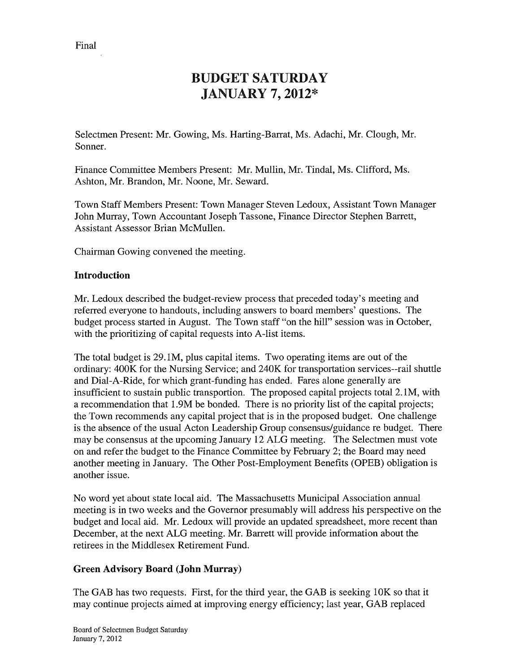# BUDGET SATURDAY JANUARY 7, 2012\*

Selectmen Present: Mr. Gowing, Ms. Harting-Barrat, Ms. Adachi, Mr. Clough, Mr. Sonner.

Finance Committee Members Present: Mr. Mullin, Mr. Tindal, Ms. Clifford, Ms. Ashton, Mr. Brandon, Mr. Noone, Mr. Seward.

Town Staff Members Present: Town Manager Steven Ledoux, Assistant Town Manager John Murray, Town Accountant Joseph Tassone, Finance Director Stephen Barrett, Assistant Assessor Brian McMullen.

Chairman Gowing convened the meeting.

## Introduction

Mr. Ledoux described the budget-review process that preceded today's meeting and referred everyone to handouts, including answers to board members' questions. The budget process started in August. The Town staff "on the hill" session was in October, with the prioritizing of capital requests into A-list items.

The total budget is 29. 1M, plus capital items. Two operating items are out of the ordinary: 400K for the Nursing Service; and 240K for transportation services--rail shuttle and Dial-A-Ride, for which grant-funding has ended. Fares alone generally are insufficient to sustain public transportion. The proposed capital projects total 2. 1M, with a recommendation that <sup>1</sup> .9M be bonded. There is no priority list of the capital projects; the Town recommends any capital project that is in the proposed budget. One challenge is the absence of the usual Acton Leadership Group consensus/guidance re budget. There may be consensus at the upcoming January 12 ALG meeting. The Selectmen must vote on and refer the budget to the Finance Committee by February 2; the Board may need another meeting in January. The Other Post-Employment Benefits (OPEB) obligation is another issue.

No word yet about state local aid. The Massachusetts Municipal Association annual meeting is in two weeks and the Governor presumably will address his perspective on the budget and local aid. Mr. Ledoux will provide an updated spreadsheet, more recent than December, at the next ALG meeting. Mr. Barrett will provide information about the retirees in the Middlesex Retirement Fund.

## Green Advisory Board (John Murray)

The GAB has two requests. First, for the third year, the GAB is seeking 10K so that it may continue projects aimed at improving energy efficiency; last year, GAB replaced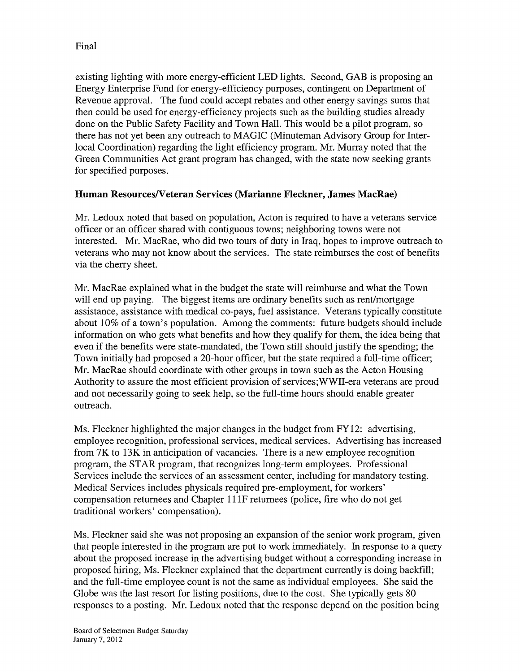existing lighting with more energy-efficient LED lights. Second, GAB is proposing an Energy Enterprise Fund for energy-efficiency purposes, contingent on Department of Revenue approval. The fund could accept rebates and other energy savings sums that then could be used for energy-efficiency projects such as the building studies already done on the Public Safety Facility and Town Hall. This would be a pilot program, so there has not yet been any outreach to MAGIC (Minuteman Advisory Group for Interlocal Coordination) regarding the light efficiency program. Mr. Murray noted that the Green Communities Act grant program has changed, with the state now seeking grants for specified purposes.

# Human Resources/Veteran Services (Marianne Fleckner, James MacRae)

Mr. Ledoux noted that based on population, Acton is required to have a veterans service officer or an officer shared with contiguous towns; neighboring towns were not interested. Mr. MacRae, who did two tours of duty in Iraq, hopes to improve outreach to veterans who may not know about the services. The state reimburses the cost of benefits via the cherry sheet.

Mr. MacRae explained what in the budget the state will reimburse and what the Town will end up paying. The biggest items are ordinary benefits such as rent/mortgage assistance, assistance with medical co-pays, fuel assistance. Veterans typically constitute about 10% of a town's population. Among the comments: future budgets should include information on who gets what benefits and how they qualify for them, the idea being that even if the benefits were state-mandated, the Town still should justify the spending; the Town initially had proposed a 20-hour officer, but the state required a full-time officer; Mr. MacRae should coordinate with other groups in town such as the Acton Housing Authority to assure the most efficient provision of services;WWII-era veterans are proud and not necessarily going to seek help, so the full-time hours should enable greater outreach.

Ms. Fleckner highlighted the major changes in the budget from FY12: advertising, employee recognition, professional services, medical services. Advertising has increased from 7K to 13K in anticipation of vacancies. There is a new employee recognition program, the STAR program, that recognizes long-term employees. Professional Services include the services of an assessment center, including for mandatory testing. Medical Services includes physicals required pre-employment, for workers' compensation returnees and Chapter <sup>11</sup> iF returnees (police, fire who do not get traditional workers' compensation).

Ms. Fleckner said she was not proposing an expansion of the senior work program, given that people interested in the program are put to work immediately. In response to a query about the proposed increase in the advertising budget without a corresponding increase in proposed hiring, Ms. Fleckner explained that the department currently is doing backfill; and the full-time employee count is not the same as individual employees. She said the Globe was the last resort for listing positions, due to the cost. She typically gets 80 responses to a posting. Mr. Ledoux noted that the response depend on the position being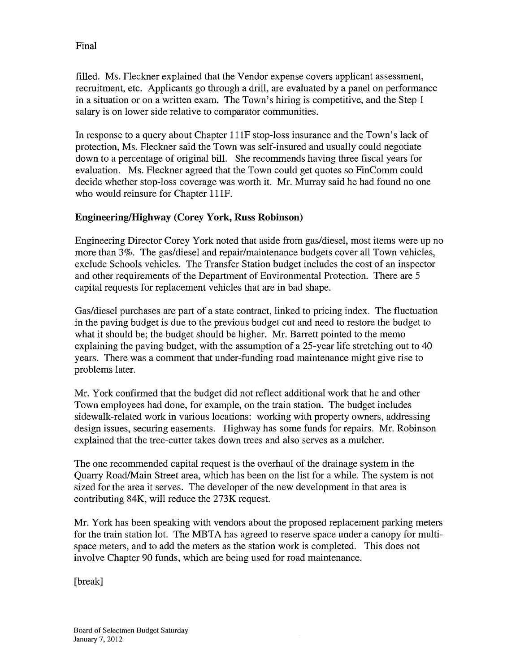filled. Ms. Fleckner explained that the Vendor expense covers applicant assessment, recruitment, etc. Applicants go through a drill, are evaluated by a panel on performance in a situation or on a written exam. The Town's hiring is competitive, and the Step <sup>1</sup> salary is on lower side relative to comparator communities.

In response to a query about Chapter <sup>11</sup> iF stop-loss insurance and the Town's lack of protection, Ms. Fleckner said the Town was self-insured and usually could negotiate down to a percentage of original bill. She recommends having three fiscal years for evaluation. Ms. Fleckner agreed that the Town could get quotes so FinComm could decide whether stop-loss coverage was worth it. Mr. Murray said he had found no one who would reinsure for Chapter 111F.

## Engineering/Highway (Corey York, Russ Robinson)

Engineering Director Corey York noted that aside from gas/diesel, most items were up no more than 3%. The gas/diesel and repair/maintenance budgets cover all Town vehicles, exclude Schools vehicles. The Transfer Station budget includes the cost of an inspector and other requirements of the Department of Environmental Protection. There are 5 capital requests for replacement vehicles that are in bad shape.

Gas/diesel purchases are part of a state contract, linked to pricing index. The fluctuation in the paving budget is due to the previous budget cut and need to restore the budget to what it should be; the budget should be higher. Mr. Barrett pointed to the memo explaining the paving budget, with the assumption of a 25-year life stretching out to 40 years. There was a comment that under-funding road maintenance might give rise to problems later.

Mr. York confirmed that the budget did not reflect additional work that he and other Town employees had done, for example, on the train station. The budget includes sidewalk-related work in various locations: working with property owners, addressing design issues, securing easements. Highway has some funds for repairs. Mr. Robinson explained that the tree-cutter takes down trees and also serves as a mulcher.

The one recommended capital request is the overhaul of the drainage system in the Quarry Road/Main Street area, which has been on the list for a while. The system is not sized for the area it serves. The developer of the new development in that area is contributing 84K, will reduce the 273K request.

Mr. York has been speaking with vendors about the proposed replacement parking meters for the train station lot. The MBTA has agreed to reserve space under a canopy for multi space meters, and to add the meters as the station work is completed. This does not involve Chapter 90 funds, which are being used for road maintenance.

[break]

Final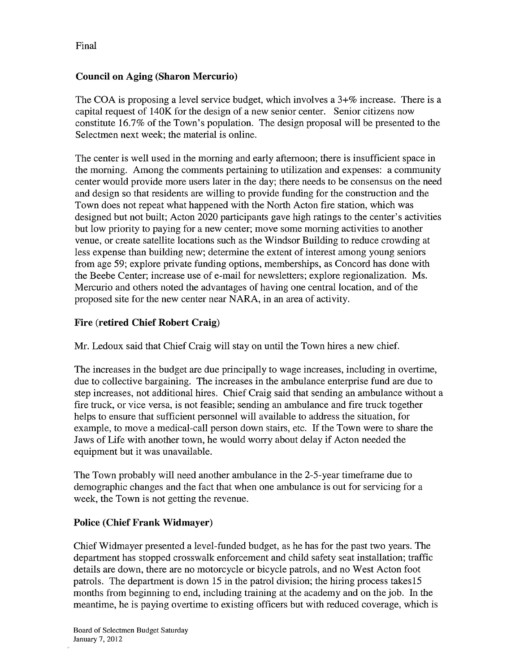## Council on Aging (Sharon Mercurio)

The COA is proposing a level service budget, which involves a 3+% increase. There is a capital request of 140K for the design of a new senior center. Senior citizens now constitute 16.7% of the Town's population. The design proposal will be presented to the Selectmen next week; the material is online.

The center is well used in the morning and early afternoon; there is insufficient space in the morning. Among the comments pertaining to utilization and expenses: a community center would provide more users later in the day; there needs to be consensus on the need and design so that residents are willing to provide funding for the construction and the Town does not repeat what happened with the North Acton fire station, which was designed but not built; Acton 2020 participants gave high ratings to the center's activities but low priority to paying for a new center; move some morning activities to another venue, or create satellite locations such as the Windsor Building to reduce crowding at less expense than building new; determine the extent of interest among young seniors from age 59; explore private funding options, memberships, as Concord has done with the Beebe Center; increase use of e-mail for newsletters; explore regionalization. Ms. Mercurio and others noted the advantages of having one central location, and of the proposed site for the new center near NARA, in an area of activity.

# Fire (retired Chief Robert Craig)

Mr. Ledoux said that Chief Craig will stay on until the Town hires a new chief.

The increases in the budget are due principally to wage increases, including in overtime, due to collective bargaining. The increases in the ambulance enterprise fund are due to step increases, not additional hires. Chief Craig said that sending an ambulance without a fire truck, or vice versa, is not feasible; sending an ambulance and fire truck together helps to ensure that sufficient personnel will available to address the situation, for example, to move a medical-call person down stairs, etc. If the Town were to share the Jaws of Life with another town, he would worry about delay if Acton needed the equipment but it was unavailable.

The Town probably will need another ambulance in the 2-5-year timeframe due to demographic changes and the fact that when one ambulance is out for servicing for a week, the Town is not getting the revenue.

## Police (Chief Frank Widmayer)

Chief Widmayer presented a level-funded budget, as he has for the past two years. The department has stopped crosswalk enforcement and child safety seat installation; traffic details are down, there are no motorcycle or bicycle patrols, and no West Acton foot patrols. The department is down 15 in the patrol division; the hiring process takes 15 months from beginning to end, including training at the academy and on the job. In the meantime, he is paying overtime to existing officers but with reduced coverage, which is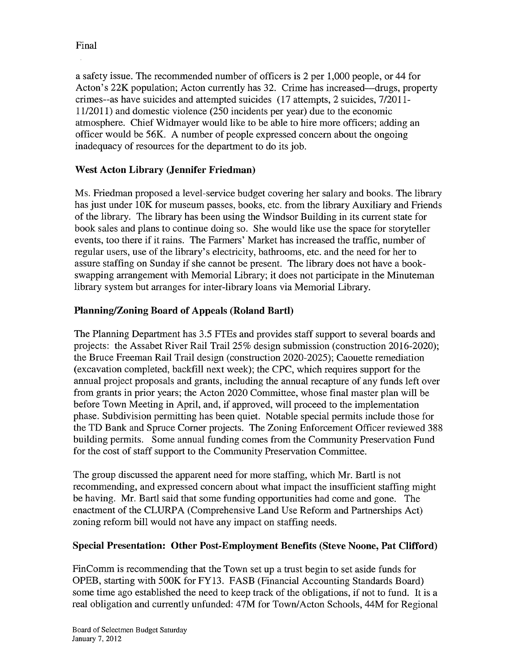a safety issue. The recommended number of officers is 2 per 1,000 people, or 44 for Acton's 22K population; Acton currently has 32. Crime has increased—drugs, property crimes--as have suicides and attempted suicides (17 attempts, 2 suicides, 7/2011 - 11/2011) and domestic violence (250 incidents per year) due to the economic atmosphere. Chief Widmayer would like to be able to hire more officers; adding an officer would be 56K. A number of people expressed concern about the ongoing inadequacy of resources for the department to do its job.

## West Acton Library (Jennifer Friedman)

Ms. Friedman proposed a level-service budget covering her salary and books. The library has just under 10K for museum passes, books, etc. from the library Auxiliary and Friends of the library. The library has been using the Windsor Building in its current state for book sales and plans to continue doing so. She would like use the space for storyteller events, too there if it rains. The Farmers' Market has increased the traffic, number of regular users, use of the library's electricity, bathrooms, etc. and the need for her to assure staffing on Sunday if she cannot be present. The library does not have a book swapping arrangement with Memorial Library; it does not participate in the Minuteman library system but arranges for inter-library loans via Memorial Library.

## Planning/Zoning Board of Appeals (Roland Barti)

The Planning Department has 3.5 FTEs and provides staff support to several boards and projects: the Assabet River Rail Trail 25% design submission (construction 2016-2020); the Bruce Freeman Rail Trail design (construction 2020-2025); Caouette remediation (excavation completed, backfill next week); the CPC, which requires support for the annual project proposals and grants, including the annual recapture of any funds left over from grants in prior years; the Acton 2020 Committee, whose final master plan will be before Town Meeting in April, and, if approved, will proceed to the implementation phase. Subdivision permitting has been quiet. Notable special permits include those for the TD Bank and Spruce Corner projects. The Zoning Enforcement Officer reviewed 388 building permits. Some annual funding comes from the Community Preservation Fund for the cost of staff support to the Community Preservation Committee.

The group discussed the apparent need for more staffing, which Mr. Barti is not recommending, and expressed concern about what impact the insufficient staffing might be having. Mr. Bartl said that some funding opportunities had come and gone. The enactment of the CLURPA (Comprehensive Land Use Reform and Partnerships Act) zoning reform bill would not have any impact on staffing needs.

## Special Presentation: Other Post-Employment Benefits (Steve Noone, Pat Clifford)

FinComm is recommending that the Town set up a trust begin to set aside funds for OPEB, starting with 500K for FY13. FASB (Financial Accounting Standards Board) some time ago established the need to keep track of the obligations, if not to fund. It is a real obligation and currently unfunded: 47M for Town/Acton Schools, 44M for Regional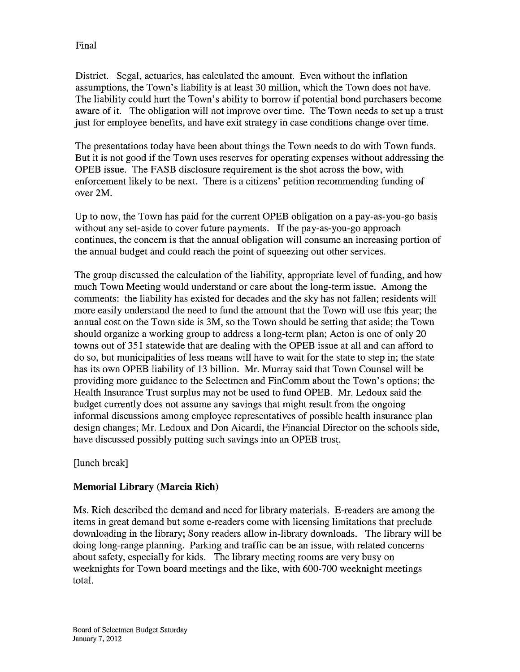District. Segal, actuaries, has calculated the amount. Even without the inflation assumptions, the Town's liability is at least 30 million, which the Town does not have. The liability could hurt the Town's ability to borrow if potential bond purchasers become aware of it. The obligation will not improve over time. The Town needs to set up a trust just for employee benefits, and have exit strategy in case conditions change over time.

The presentations today have been about things the Town needs to do with Town funds. But it is not good if the Town uses reserves for operating expenses without addressing the OPEB issue. The FASB disclosure requirement is the shot across the bow, with enforcement likely to be next. There is a citizens' petition recommending funding of over 2M.

Up to now, the Town has paid for the current OPEB obligation on a pay-as-you-go basis without any set-aside to cover future payments. If the pay-as-you-go approach continues, the concern is that the annual obligation will consume an increasing portion of the annual budget and could reach the point of squeezing out other services.

The group discussed the calculation of the liability, appropriate level of funding, and how much Town Meeting would understand or care about the long-term issue. Among the comments: the liability has existed for decades and the sky has not fallen; residents will more easily understand the need to fund the amount that the Town will use this year; the annual cost on the Town side is 3M, so the Town should be setting that aside; the Town should organize a working group to address a long-term plan; Acton is one of only 20 towns out of 351 statewide that are dealing with the OPEB issue at all and can afford to do so, but municipalities of less means will have to wait for the state to step in; the state has its own OPEB liability of 13 billion. Mr. Murray said that Town Counsel will be providing more guidance to the Selectmen and FinComm about the Town's options; the Health Insurance Trust surplus may not be used to fund OPEB. Mr. Ledoux said the budget currently does not assume any savings that might result from the ongoing informal discussions among employee representatives of possible health insurance plan design changes; Mr. Ledoux and Don Aicardi, the Financial Director on the schools side, have discussed possibly putting such savings into an OPEB trust.

[lunch break]

# Memorial Library (Marcia Rich)

Ms. Rich described the demand and need for library materials. E-readers are among the items in great demand but some e-readers come with licensing limitations that preclude downloading in the library; Sony readers allow in-library downloads. The library will be doing long-range planning. Parking and traffic can be an issue, with related concerns about safety, especially for kids. The library meeting rooms are very busy on weeknights for Town board meetings and the like, with 600-700 weeknight meetings total.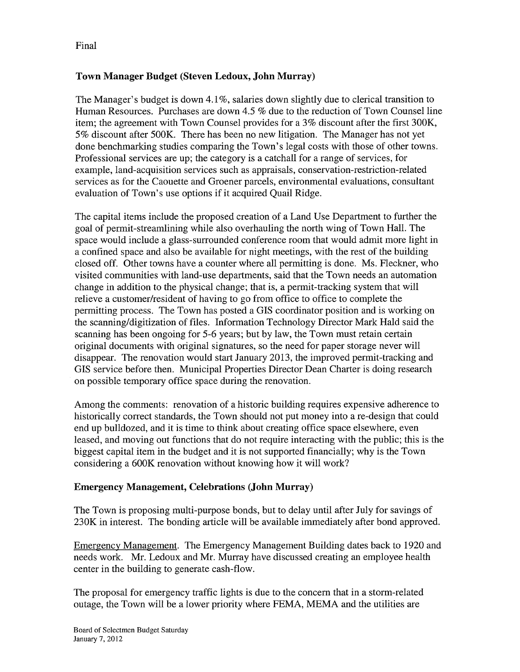# Town Manager Budget (Steven Ledoux, John Murray)

The Manager's budget is down 4.1%, salaries down slightly due to clerical transition to Human Resources. Purchases are down 4.5 % due to the reduction of Town Counsel line item; the agreement with Town Counsel provides for a 3% discount after the first 300K, 5% discount after 500K. There has been no new litigation. The Manager has not yet done benchmarking studies comparing the Town's legal costs with those of other towns. Professional services are up; the category is a catchall for a range of services, for example, land-acquisition services such as appraisals, conservation-restriction-related services as for the Caouette and Groener parcels, environmental evaluations, consultant evaluation of Town's use options if it acquired Quail Ridge.

The capital items include the proposed creation of a Land Use Department to further the goal of permit-streamlining while also overhauling the north wing of Town Hall. The space would include a glass-surrounded conference room that would admit more light in a confined space and also be available for night meetings, with the rest of the building closed off. Other towns have a counter where all permitting is done. Ms. Fleckner, who visited communities with land-use departments, said that the Town needs an automation change in addition to the physical change; that is, a permit-tracking system that will relieve a customer/resident of having to go from office to office to complete the permitting process. The Town has posted a GIS coordinator position and is working on the scanning/digitization of files. Information Technology Director Mark Hald said the scanning has been ongoing for 5-6 years; but by law, the Town must retain certain original documents with original signatures, so the need for paper storage never will disappear. The renovation would start January 2013, the improved permit-tracking and GIS service before then. Municipal Properties Director Dean Charter is doing research on possible temporary office space during the renovation.

Among the comments: renovation of a historic building requires expensive adherence to historically correct standards, the Town should not put money into a re-design that could end up bulldozed, and it is time to think about creating office space elsewhere, even leased, and moving out functions that do not require interacting with the public; this is the biggest capital item in the budget and it is not supported financially; why is the Town considering a 600K renovation without knowing how it will work?

## Emergency Management, Celebrations (John Murray)

The Town is proposing multi-purpose bonds, but to delay until after July for savings of 230K in interest. The bonding article will be available immediately after bond approved.

Emergency Management. The Emergency Management Building dates back to 1920 and needs work. Mr. Ledoux and Mr. Murray have discussed creating an employee health center in the building to generate cash-flow.

The proposal for emergency traffic lights is due to the concern that in a storm-related outage, the Town will be a lower priority where FEMA, MEMA and the utilities are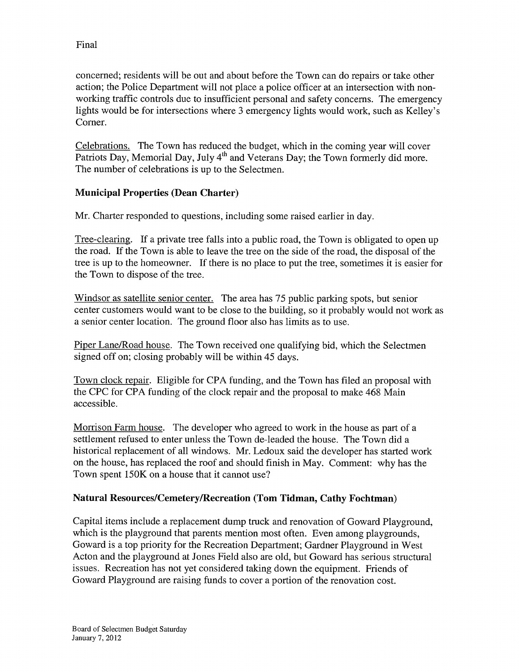concerned; residents will be out and about before the Town can do repairs or take other action; the Police Department will not place a police officer at an intersection with nonworking traffic controls due to insufficient personal and safety concerns. The emergency lights would be for intersections where 3 emergency lights would work, such as Kelley's Corner.

Celebrations. The Town has reduced the budget, which in the coming year will cover Patriots Day, Memorial Day, July  $4<sup>th</sup>$  and Veterans Day; the Town formerly did more. The number of celebrations is up to the Selectmen.

# Municipal Properties (Dean Charter)

Mr. Charter responded to questions, including some raised earlier in day.

Tree-clearing. If a private tree falls into a public road, the Town is obligated to open up the road. If the Town is able to leave the tree on the side of the road, the disposal of the tree is up to the homeowner. If there is no place to put the tree, sometimes it is easier for the Town to dispose of the tree.

Windsor as satellite senior center. The area has 75 public parking spots, but senior center customers would want to be close to the building, so it probably would not work as a senior center location. The ground floor also has limits as to use.

Piper Lane/Road house. The Town received one qualifying bid, which the Selectmen signed off on; closing probably will be within 45 days.

Town clock repair. Eligible for CPA funding, and the Town has filed an proposal with the CPC for CPA funding of the clock repair and the proposal to make 468 Main accessible.

Morrison Farm house. The developer who agreed to work in the house as part of a settlement refused to enter unless the Town de-leaded the house. The Town did a historical replacement of all windows. Mr. Ledoux said the developer has started work on the house, has replaced the roof and should finish in May. Comment: why has the Town spent 150K on a house that it cannot use?

## Natural Resources/Cemetery/Recreation (Tom Tidman, Cathy Fochtman)

Capital items include a replacement dump truck and renovation of Goward Playground, which is the playground that parents mention most often. Even among playgrounds, Goward is a top priority for the Recreation Department; Gardner Playground in West Acton and the playground at Jones Field also are old, but Goward has serious structural issues. Recreation has not yet considered taking down the equipment. Friends of Goward Playground are raising funds to cover a portion of the renovation cost.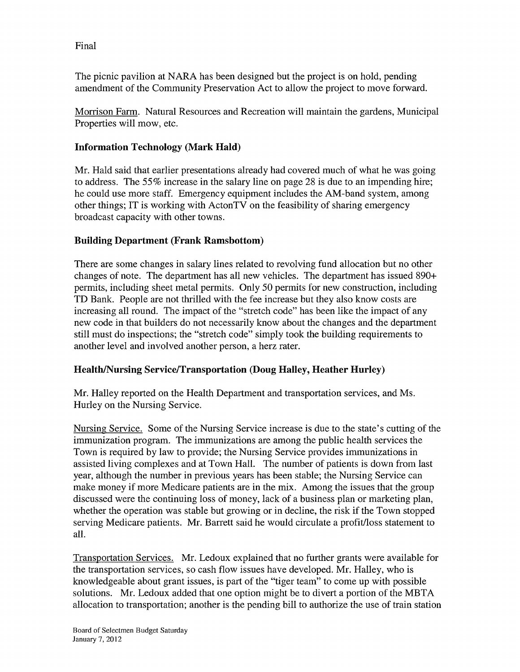The picnic pavilion at NARA has been designed but the project is on hold, pending amendment of the Community Preservation Act to allow the project to move forward.

Morrison Farm. Natural Resources and Recreation will maintain the gardens, Municipal Properties will mow, etc.

# Information Technology (Mark Hald)

Mr. Hald said that earlier presentations already had covered much of what he was going to address. The 55% increase in the salary line on page 28 is due to an impending hire; he could use more staff. Emergency equipment includes the AM-band system, among other things; IT is working with ActonTV on the feasibility of sharing emergency broadcast capacity with other towns.

# Building Department (Frank Ramsbottom)

There are some changes in salary lines related to revolving fund allocation but no other changes of note. The department has all new vehicles. The department has issued 890+ permits, including sheet metal permits. Only 50 permits for new construction, including TD Bank. People are not thrilled with the fee increase but they also know costs are increasing all round. The impact of the "stretch code" has been like the impact of any new code in that builders do not necessarily know about the changes and the department still must do inspections; the "stretch code" simply took the building requirements to another level and involved another person, a herz rater.

## Health/Nursing Service/Transportation (Doug Halley, Heather Hurley)

Mr. Halley reported on the Health Department and transportation services, and Ms. Hurley on the Nursing Service.

Nursing Service. Some of the Nursing Service increase is due to the state's cutting of the immunization program. The immunizations are among the public health services the Town is required by law to provide; the Nursing Service provides immunizations in assisted living complexes and at Town Hall. The number of patients is down from last year, although the number in previous years has been stable; the Nursing Service can make money if more Medicare patients are in the mix. Among the issues that the group discussed were the continuing loss of money, lack of a business plan or marketing plan, whether the operation was stable but growing or in decline, the risk if the Town stopped serving Medicare patients. Mr. Barrett said he would circulate a profit/loss statement to all.

Transportation Services. Mr. Ledoux explained that no further grants were available for the transportation services, so cash flow issues have developed. Mr. Halley, who is knowledgeable about grant issues, is part of the "tiger team" to come up with possible solutions. Mr. Ledoux added that one option might be to divert a portion of the MBTA allocation to transportation; another is the pending bill to authorize the use of train station